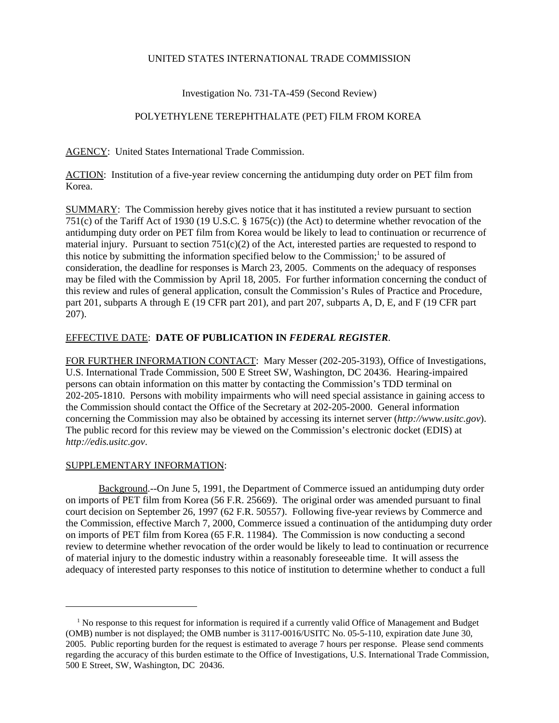## UNITED STATES INTERNATIONAL TRADE COMMISSION

## Investigation No. 731-TA-459 (Second Review)

# POLYETHYLENE TEREPHTHALATE (PET) FILM FROM KOREA

AGENCY: United States International Trade Commission.

ACTION: Institution of a five-year review concerning the antidumping duty order on PET film from Korea.

SUMMARY: The Commission hereby gives notice that it has instituted a review pursuant to section 751(c) of the Tariff Act of 1930 (19 U.S.C. § 1675(c)) (the Act) to determine whether revocation of the antidumping duty order on PET film from Korea would be likely to lead to continuation or recurrence of material injury. Pursuant to section 751(c)(2) of the Act, interested parties are requested to respond to this notice by submitting the information specified below to the Commission;<sup>1</sup> to be assured of consideration, the deadline for responses is March 23, 2005. Comments on the adequacy of responses may be filed with the Commission by April 18, 2005. For further information concerning the conduct of this review and rules of general application, consult the Commission's Rules of Practice and Procedure, part 201, subparts A through E (19 CFR part 201), and part 207, subparts A, D, E, and F (19 CFR part 207).

## EFFECTIVE DATE: **DATE OF PUBLICATION IN** *FEDERAL REGISTER*.

FOR FURTHER INFORMATION CONTACT: Mary Messer (202-205-3193), Office of Investigations, U.S. International Trade Commission, 500 E Street SW, Washington, DC 20436. Hearing-impaired persons can obtain information on this matter by contacting the Commission's TDD terminal on 202-205-1810. Persons with mobility impairments who will need special assistance in gaining access to the Commission should contact the Office of the Secretary at 202-205-2000. General information concerning the Commission may also be obtained by accessing its internet server (*http://www.usitc.gov*). The public record for this review may be viewed on the Commission's electronic docket (EDIS) at *http://edis.usitc.gov*.

## SUPPLEMENTARY INFORMATION:

Background.--On June 5, 1991, the Department of Commerce issued an antidumping duty order on imports of PET film from Korea (56 F.R. 25669). The original order was amended pursuant to final court decision on September 26, 1997 (62 F.R. 50557). Following five-year reviews by Commerce and the Commission, effective March 7, 2000, Commerce issued a continuation of the antidumping duty order on imports of PET film from Korea (65 F.R. 11984). The Commission is now conducting a second review to determine whether revocation of the order would be likely to lead to continuation or recurrence of material injury to the domestic industry within a reasonably foreseeable time. It will assess the adequacy of interested party responses to this notice of institution to determine whether to conduct a full

<sup>&</sup>lt;sup>1</sup> No response to this request for information is required if a currently valid Office of Management and Budget (OMB) number is not displayed; the OMB number is 3117-0016/USITC No. 05-5-110, expiration date June 30, 2005. Public reporting burden for the request is estimated to average 7 hours per response. Please send comments regarding the accuracy of this burden estimate to the Office of Investigations, U.S. International Trade Commission, 500 E Street, SW, Washington, DC 20436.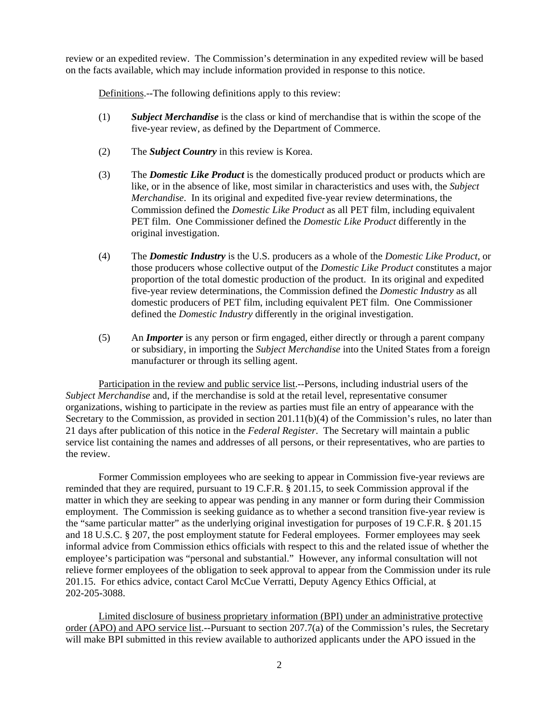review or an expedited review. The Commission's determination in any expedited review will be based on the facts available, which may include information provided in response to this notice.

Definitions.--The following definitions apply to this review:

- (1) *Subject Merchandise* is the class or kind of merchandise that is within the scope of the five-year review, as defined by the Department of Commerce.
- (2) The *Subject Country* in this review is Korea.
- (3) The *Domestic Like Product* is the domestically produced product or products which are like, or in the absence of like, most similar in characteristics and uses with, the *Subject Merchandise*. In its original and expedited five-year review determinations, the Commission defined the *Domestic Like Product* as all PET film, including equivalent PET film. One Commissioner defined the *Domestic Like Product* differently in the original investigation.
- (4) The *Domestic Industry* is the U.S. producers as a whole of the *Domestic Like Product*, or those producers whose collective output of the *Domestic Like Product* constitutes a major proportion of the total domestic production of the product. In its original and expedited five-year review determinations, the Commission defined the *Domestic Industry* as all domestic producers of PET film, including equivalent PET film. One Commissioner defined the *Domestic Industry* differently in the original investigation.
- (5) An *Importer* is any person or firm engaged, either directly or through a parent company or subsidiary, in importing the *Subject Merchandise* into the United States from a foreign manufacturer or through its selling agent.

Participation in the review and public service list.--Persons, including industrial users of the *Subject Merchandise* and, if the merchandise is sold at the retail level, representative consumer organizations, wishing to participate in the review as parties must file an entry of appearance with the Secretary to the Commission, as provided in section 201.11(b)(4) of the Commission's rules, no later than 21 days after publication of this notice in the *Federal Register*. The Secretary will maintain a public service list containing the names and addresses of all persons, or their representatives, who are parties to the review.

Former Commission employees who are seeking to appear in Commission five-year reviews are reminded that they are required, pursuant to 19 C.F.R. § 201.15, to seek Commission approval if the matter in which they are seeking to appear was pending in any manner or form during their Commission employment. The Commission is seeking guidance as to whether a second transition five-year review is the "same particular matter" as the underlying original investigation for purposes of 19 C.F.R. § 201.15 and 18 U.S.C. § 207, the post employment statute for Federal employees. Former employees may seek informal advice from Commission ethics officials with respect to this and the related issue of whether the employee's participation was "personal and substantial." However, any informal consultation will not relieve former employees of the obligation to seek approval to appear from the Commission under its rule 201.15. For ethics advice, contact Carol McCue Verratti, Deputy Agency Ethics Official, at 202-205-3088.

Limited disclosure of business proprietary information (BPI) under an administrative protective order (APO) and APO service list.--Pursuant to section 207.7(a) of the Commission's rules, the Secretary will make BPI submitted in this review available to authorized applicants under the APO issued in the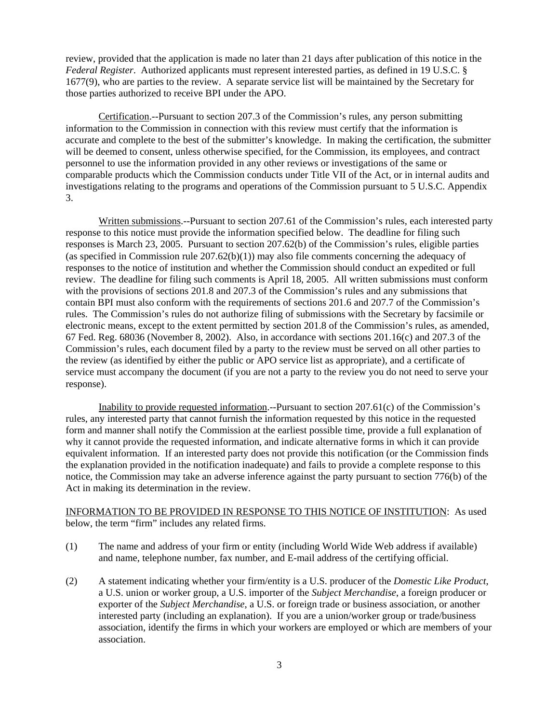review, provided that the application is made no later than 21 days after publication of this notice in the *Federal Register*. Authorized applicants must represent interested parties, as defined in 19 U.S.C. § 1677(9), who are parties to the review. A separate service list will be maintained by the Secretary for those parties authorized to receive BPI under the APO.

Certification.--Pursuant to section 207.3 of the Commission's rules, any person submitting information to the Commission in connection with this review must certify that the information is accurate and complete to the best of the submitter's knowledge. In making the certification, the submitter will be deemed to consent, unless otherwise specified, for the Commission, its employees, and contract personnel to use the information provided in any other reviews or investigations of the same or comparable products which the Commission conducts under Title VII of the Act, or in internal audits and investigations relating to the programs and operations of the Commission pursuant to 5 U.S.C. Appendix 3.

Written submissions.--Pursuant to section 207.61 of the Commission's rules, each interested party response to this notice must provide the information specified below. The deadline for filing such responses is March 23, 2005. Pursuant to section 207.62(b) of the Commission's rules, eligible parties (as specified in Commission rule 207.62(b)(1)) may also file comments concerning the adequacy of responses to the notice of institution and whether the Commission should conduct an expedited or full review. The deadline for filing such comments is April 18, 2005. All written submissions must conform with the provisions of sections 201.8 and 207.3 of the Commission's rules and any submissions that contain BPI must also conform with the requirements of sections 201.6 and 207.7 of the Commission's rules. The Commission's rules do not authorize filing of submissions with the Secretary by facsimile or electronic means, except to the extent permitted by section 201.8 of the Commission's rules, as amended, 67 Fed. Reg. 68036 (November 8, 2002). Also, in accordance with sections 201.16(c) and 207.3 of the Commission's rules, each document filed by a party to the review must be served on all other parties to the review (as identified by either the public or APO service list as appropriate), and a certificate of service must accompany the document (if you are not a party to the review you do not need to serve your response).

Inability to provide requested information.--Pursuant to section 207.61(c) of the Commission's rules, any interested party that cannot furnish the information requested by this notice in the requested form and manner shall notify the Commission at the earliest possible time, provide a full explanation of why it cannot provide the requested information, and indicate alternative forms in which it can provide equivalent information. If an interested party does not provide this notification (or the Commission finds the explanation provided in the notification inadequate) and fails to provide a complete response to this notice, the Commission may take an adverse inference against the party pursuant to section 776(b) of the Act in making its determination in the review.

### INFORMATION TO BE PROVIDED IN RESPONSE TO THIS NOTICE OF INSTITUTION: As used below, the term "firm" includes any related firms.

- (1) The name and address of your firm or entity (including World Wide Web address if available) and name, telephone number, fax number, and E-mail address of the certifying official.
- (2) A statement indicating whether your firm/entity is a U.S. producer of the *Domestic Like Product*, a U.S. union or worker group, a U.S. importer of the *Subject Merchandise*, a foreign producer or exporter of the *Subject Merchandise*, a U.S. or foreign trade or business association, or another interested party (including an explanation). If you are a union/worker group or trade/business association, identify the firms in which your workers are employed or which are members of your association.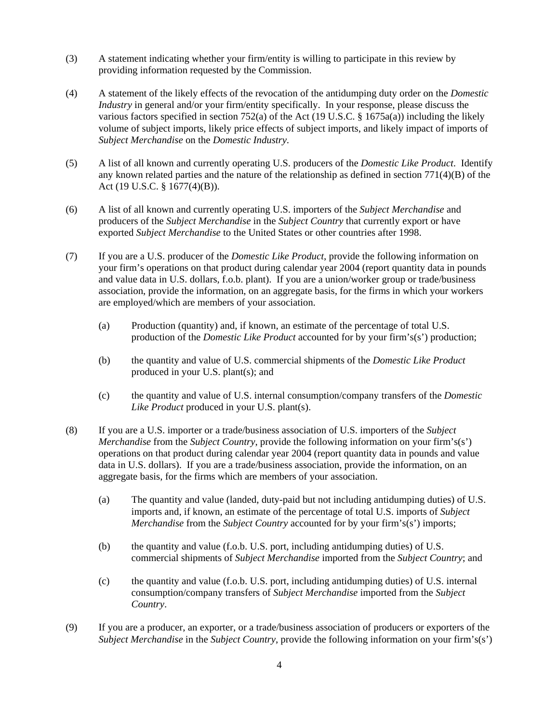- (3) A statement indicating whether your firm/entity is willing to participate in this review by providing information requested by the Commission.
- (4) A statement of the likely effects of the revocation of the antidumping duty order on the *Domestic Industry* in general and/or your firm/entity specifically. In your response, please discuss the various factors specified in section 752(a) of the Act (19 U.S.C. §  $1675a(a)$ ) including the likely volume of subject imports, likely price effects of subject imports, and likely impact of imports of *Subject Merchandise* on the *Domestic Industry*.
- (5) A list of all known and currently operating U.S. producers of the *Domestic Like Product*. Identify any known related parties and the nature of the relationship as defined in section 771(4)(B) of the Act (19 U.S.C. § 1677(4)(B)).
- (6) A list of all known and currently operating U.S. importers of the *Subject Merchandise* and producers of the *Subject Merchandise* in the *Subject Country* that currently export or have exported *Subject Merchandise* to the United States or other countries after 1998.
- (7) If you are a U.S. producer of the *Domestic Like Product*, provide the following information on your firm's operations on that product during calendar year 2004 (report quantity data in pounds and value data in U.S. dollars, f.o.b. plant). If you are a union/worker group or trade/business association, provide the information, on an aggregate basis, for the firms in which your workers are employed/which are members of your association.
	- (a) Production (quantity) and, if known, an estimate of the percentage of total U.S. production of the *Domestic Like Product* accounted for by your firm's(s') production;
	- (b) the quantity and value of U.S. commercial shipments of the *Domestic Like Product* produced in your U.S. plant(s); and
	- (c) the quantity and value of U.S. internal consumption/company transfers of the *Domestic Like Product* produced in your U.S. plant(s).
- (8) If you are a U.S. importer or a trade/business association of U.S. importers of the *Subject Merchandise* from the *Subject Country*, provide the following information on your firm's(s') operations on that product during calendar year 2004 (report quantity data in pounds and value data in U.S. dollars). If you are a trade/business association, provide the information, on an aggregate basis, for the firms which are members of your association.
	- (a) The quantity and value (landed, duty-paid but not including antidumping duties) of U.S. imports and, if known, an estimate of the percentage of total U.S. imports of *Subject Merchandise* from the *Subject Country* accounted for by your firm's(s') imports;
	- (b) the quantity and value (f.o.b. U.S. port, including antidumping duties) of U.S. commercial shipments of *Subject Merchandise* imported from the *Subject Country*; and
	- (c) the quantity and value (f.o.b. U.S. port, including antidumping duties) of U.S. internal consumption/company transfers of *Subject Merchandise* imported from the *Subject Country*.
- (9) If you are a producer, an exporter, or a trade/business association of producers or exporters of the *Subject Merchandise* in the *Subject Country*, provide the following information on your firm's(s')